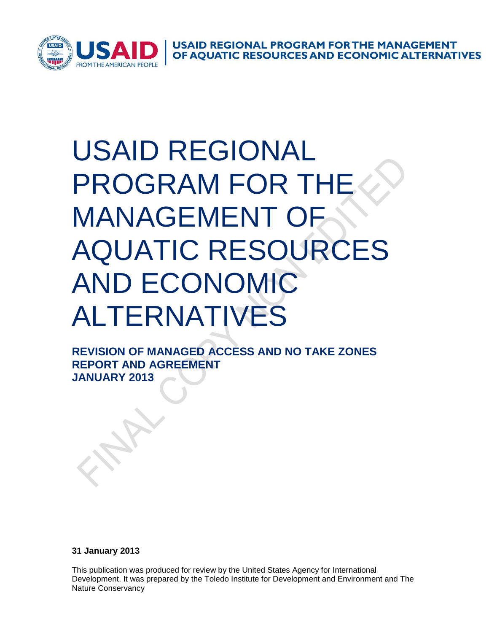

**USAID REGIONAL PROGRAM FOR THE MANAGEMENT<br>OF AQUATIC RESOURCES AND ECONOMIC ALTERNATIVES** 

# USAID REGIONAL PROGRAM FOR THI MANAGEMENT O AQUATIC RESOURCES AND ECONOMIC ALTERNATIVES

**REVISION OF MANAGED ACCESS AND NO TAKE ZONES REPORT AND AGREEMENT JANUARY 2013**

**31 January 2013**

This publication was produced for review by the United States Agency for International Development. It was prepared by the Toledo Institute for Development and Environment and The Nature Conservancy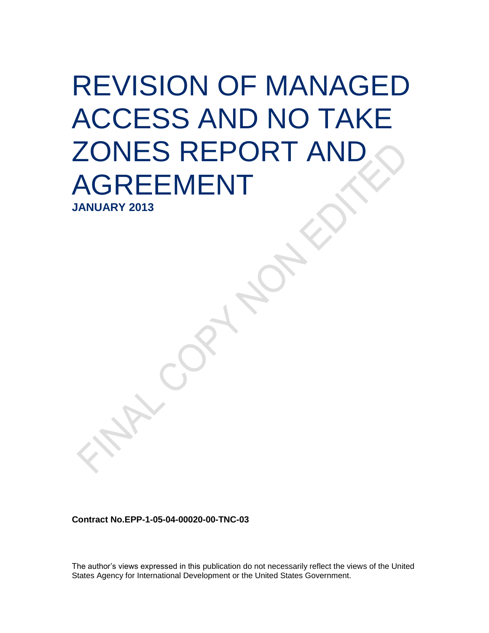# REVISION OF MANAGED ACCESS AND NO TAKE ZONES REPORT AND AGREEMENT

**JANUARY 2013**

**Contract No.EPP-1-05-04-00020-00-TNC-03**

The author's views expressed in this publication do not necessarily reflect the views of the United States Agency for International Development or the United States Government.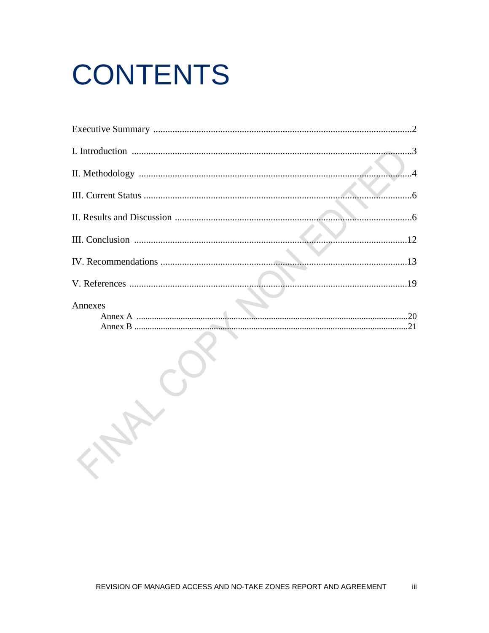# **CONTENTS**

Art.

|         | 6 |
|---------|---|
|         |   |
|         |   |
|         |   |
|         |   |
|         |   |
|         |   |
| Annexes |   |
|         |   |
|         |   |
|         |   |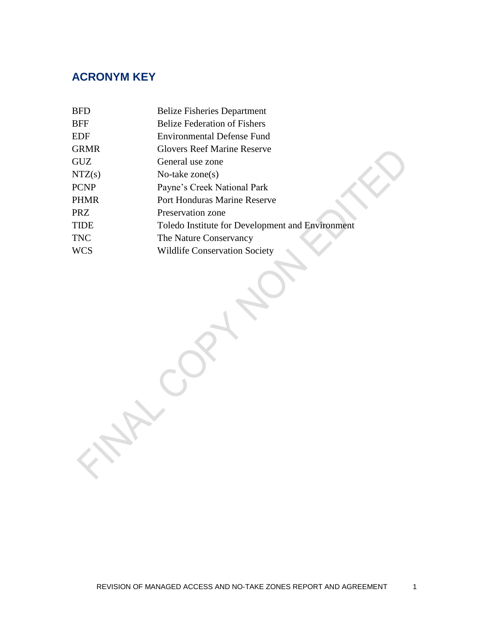## **ACRONYM KEY**

| <b>BFD</b>           | <b>Belize Fisheries Department</b>               |
|----------------------|--------------------------------------------------|
| BFF                  | <b>Belize Federation of Fishers</b>              |
| EDF                  | <b>Environmental Defense Fund</b>                |
| <b>GRMR</b>          | <b>Glovers Reef Marine Reserve</b>               |
| $\operatorname{GUZ}$ | General use zone                                 |
| NTZ(s)               | No-take $zone(s)$                                |
| <b>PCNP</b>          | Payne's Creek National Park                      |
| <b>PHMR</b>          | <b>Port Honduras Marine Reserve</b>              |
| PRZ                  | Preservation zone                                |
| <b>TIDE</b>          | Toledo Institute for Development and Environment |
| <b>TNC</b>           | The Nature Conservancy                           |
| <b>WCS</b>           | <b>Wildlife Conservation Society</b>             |
|                      |                                                  |

Contre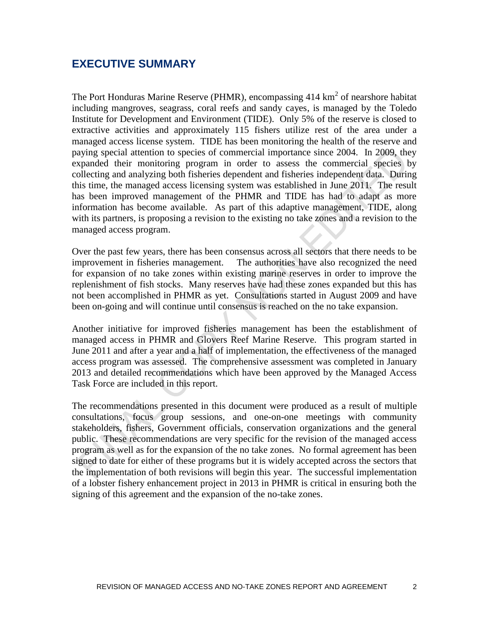## **EXECUTIVE SUMMARY**

The Port Honduras Marine Reserve (PHMR), encompassing  $414 \text{ km}^2$  of nearshore habitat including mangroves, seagrass, coral reefs and sandy cayes, is managed by the Toledo Institute for Development and Environment (TIDE). Only 5% of the reserve is closed to extractive activities and approximately 115 fishers utilize rest of the area under a managed access license system. TIDE has been monitoring the health of the reserve and paying special attention to species of commercial importance since 2004. In 2009, they expanded their monitoring program in order to assess the commercial species by collecting and analyzing both fisheries dependent and fisheries independent data. During this time, the managed access licensing system was established in June 2011. The result has been improved management of the PHMR and TIDE has had to adapt as more information has become available. As part of this adaptive management, TIDE, along with its partners, is proposing a revision to the existing no take zones and a revision to the managed access program.

Over the past few years, there has been consensus across all sectors that there needs to be improvement in fisheries management. The authorities have also recognized the need for expansion of no take zones within existing marine reserves in order to improve the replenishment of fish stocks. Many reserves have had these zones expanded but this has not been accomplished in PHMR as yet. Consultations started in August 2009 and have been on-going and will continue until consensus is reached on the no take expansion.

Another initiative for improved fisheries management has been the establishment of managed access in PHMR and Glovers Reef Marine Reserve. This program started in June 2011 and after a year and a half of implementation, the effectiveness of the managed access program was assessed. The comprehensive assessment was completed in January 2013 and detailed recommendations which have been approved by the Managed Access Task Force are included in this report.

The recommendations presented in this document were produced as a result of multiple consultations, focus group sessions, and one-on-one meetings with community stakeholders, fishers, Government officials, conservation organizations and the general public. These recommendations are very specific for the revision of the managed access program as well as for the expansion of the no take zones. No formal agreement has been signed to date for either of these programs but it is widely accepted across the sectors that the implementation of both revisions will begin this year. The successful implementation of a lobster fishery enhancement project in 2013 in PHMR is critical in ensuring both the signing of this agreement and the expansion of the no-take zones.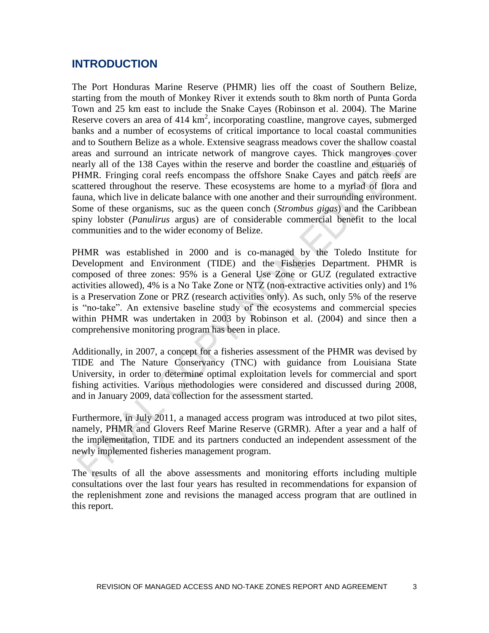## **INTRODUCTION**

The Port Honduras Marine Reserve (PHMR) lies off the coast of Southern Belize, starting from the mouth of Monkey River it extends south to 8km north of Punta Gorda Town and 25 km east to include the Snake Cayes (Robinson et al. 2004). The Marine Reserve covers an area of 414  $km^2$ , incorporating coastline, mangrove cayes, submerged banks and a number of ecosystems of critical importance to local coastal communities and to Southern Belize as a whole. Extensive seagrass meadows cover the shallow coastal areas and surround an intricate network of mangrove cayes. Thick mangroves cover nearly all of the 138 Cayes within the reserve and border the coastline and estuaries of PHMR. Fringing coral reefs encompass the offshore Snake Cayes and patch reefs are scattered throughout the reserve. These ecosystems are home to a myriad of flora and fauna, which live in delicate balance with one another and their surrounding environment. Some of these organisms, suc as the queen conch (*Strombus gigas*) and the Caribbean spiny lobster (*Panulirus* argus) are of considerable commercial benefit to the local communities and to the wider economy of Belize.

PHMR was established in 2000 and is co-managed by the Toledo Institute for Development and Environment (TIDE) and the Fisheries Department. PHMR is composed of three zones: 95% is a General Use Zone or GUZ (regulated extractive activities allowed), 4% is a No Take Zone or NTZ (non-extractive activities only) and 1% is a Preservation Zone or PRZ (research activities only). As such, only 5% of the reserve is "no-take". An extensive baseline study of the ecosystems and commercial species within PHMR was undertaken in 2003 by Robinson et al. (2004) and since then a comprehensive monitoring program has been in place.

Additionally, in 2007, a concept for a fisheries assessment of the PHMR was devised by TIDE and The Nature Conservancy (TNC) with guidance from Louisiana State University, in order to determine optimal exploitation levels for commercial and sport fishing activities. Various methodologies were considered and discussed during 2008, and in January 2009, data collection for the assessment started.

Furthermore, in July 2011, a managed access program was introduced at two pilot sites, namely, PHMR and Glovers Reef Marine Reserve (GRMR). After a year and a half of the implementation, TIDE and its partners conducted an independent assessment of the newly implemented fisheries management program.

The results of all the above assessments and monitoring efforts including multiple consultations over the last four years has resulted in recommendations for expansion of the replenishment zone and revisions the managed access program that are outlined in this report.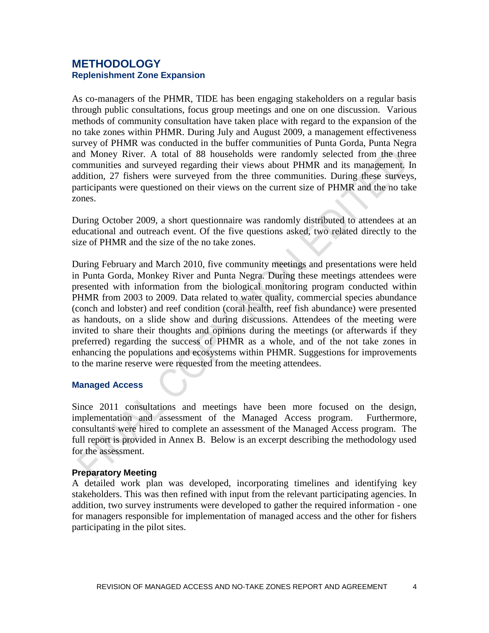## **METHODOLOGY Replenishment Zone Expansion**

As co-managers of the PHMR, TIDE has been engaging stakeholders on a regular basis through public consultations, focus group meetings and one on one discussion. Various methods of community consultation have taken place with regard to the expansion of the no take zones within PHMR. During July and August 2009, a management effectiveness survey of PHMR was conducted in the buffer communities of Punta Gorda, Punta Negra and Money River. A total of 88 households were randomly selected from the three communities and surveyed regarding their views about PHMR and its management. In addition, 27 fishers were surveyed from the three communities. During these surveys, participants were questioned on their views on the current size of PHMR and the no take zones.

During October 2009, a short questionnaire was randomly distributed to attendees at an educational and outreach event. Of the five questions asked, two related directly to the size of PHMR and the size of the no take zones.

During February and March 2010, five community meetings and presentations were held in Punta Gorda, Monkey River and Punta Negra. During these meetings attendees were presented with information from the biological monitoring program conducted within PHMR from 2003 to 2009. Data related to water quality, commercial species abundance (conch and lobster) and reef condition (coral health, reef fish abundance) were presented as handouts, on a slide show and during discussions. Attendees of the meeting were invited to share their thoughts and opinions during the meetings (or afterwards if they preferred) regarding the success of PHMR as a whole, and of the not take zones in enhancing the populations and ecosystems within PHMR. Suggestions for improvements to the marine reserve were requested from the meeting attendees.

## **Managed Access**

Since 2011 consultations and meetings have been more focused on the design, implementation and assessment of the Managed Access program. Furthermore, consultants were hired to complete an assessment of the Managed Access program. The full report is provided in Annex B. Below is an excerpt describing the methodology used for the assessment.

#### **Preparatory Meeting**

A detailed work plan was developed, incorporating timelines and identifying key stakeholders. This was then refined with input from the relevant participating agencies. In addition, two survey instruments were developed to gather the required information - one for managers responsible for implementation of managed access and the other for fishers participating in the pilot sites.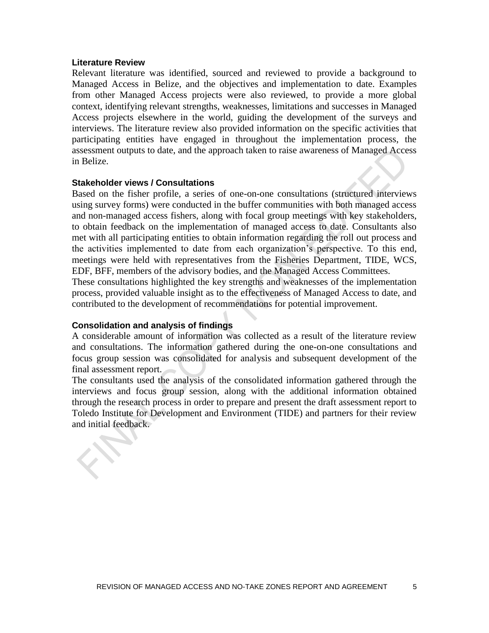#### **Literature Review**

Relevant literature was identified, sourced and reviewed to provide a background to Managed Access in Belize, and the objectives and implementation to date. Examples from other Managed Access projects were also reviewed, to provide a more global context, identifying relevant strengths, weaknesses, limitations and successes in Managed Access projects elsewhere in the world, guiding the development of the surveys and interviews. The literature review also provided information on the specific activities that participating entities have engaged in throughout the implementation process, the assessment outputs to date, and the approach taken to raise awareness of Managed Access in Belize.

#### **Stakeholder views / Consultations**

Based on the fisher profile, a series of one-on-one consultations (structured interviews using survey forms) were conducted in the buffer communities with both managed access and non-managed access fishers, along with focal group meetings with key stakeholders, to obtain feedback on the implementation of managed access to date. Consultants also met with all participating entities to obtain information regarding the roll out process and the activities implemented to date from each organization's perspective. To this end, meetings were held with representatives from the Fisheries Department, TIDE, WCS, EDF, BFF, members of the advisory bodies, and the Managed Access Committees.

These consultations highlighted the key strengths and weaknesses of the implementation process, provided valuable insight as to the effectiveness of Managed Access to date, and contributed to the development of recommendations for potential improvement.

#### **Consolidation and analysis of findings**

A considerable amount of information was collected as a result of the literature review and consultations. The information gathered during the one-on-one consultations and focus group session was consolidated for analysis and subsequent development of the final assessment report.

The consultants used the analysis of the consolidated information gathered through the interviews and focus group session, along with the additional information obtained through the research process in order to prepare and present the draft assessment report to Toledo Institute for Development and Environment (TIDE) and partners for their review and initial feedback.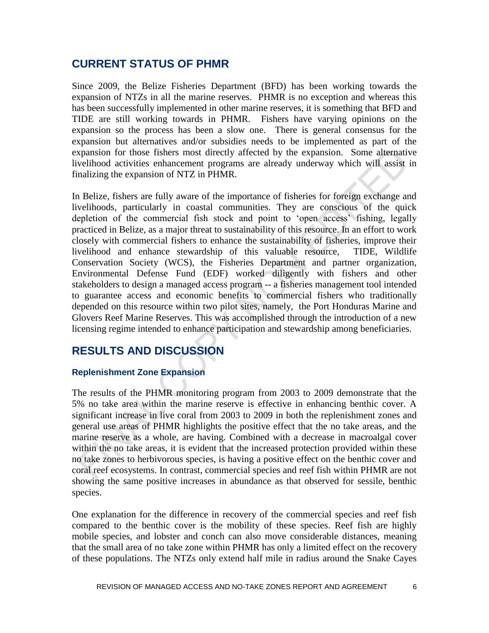## **CURRENT STATUS OF PHMR**

Since 2009, the Belize Fisheries Department (BFD) has been working towards the expansion of NTZs in all the marine reserves. PHMR is no exception and whereas this has been successfully implemented in other marine reserves, it is something that BFD and TIDE are still working towards in PHMR. Fishers have varying opinions on the expansion so the process has been a slow one. There is general consensus for the expansion but alternatives and/or subsidies needs to be implemented as part of the expansion for those fishers most directly affected by the expansion. Some alternative livelihood activities enhancement programs are already underway which will assist in finalizing the expansion of NTZ in PHMR.

In Belize, fishers are fully aware of the importance of fisheries for foreign exchange and livelihoods, particularly in coastal communities. They are conscious of the quick depletion of the commercial fish stock and point to 'open access' fishing, legally practiced in Belize, as a major threat to sustainability of this resource. In an effort to work closely with commercial fishers to enhance the sustainability of fisheries, improve their livelihood and enhance stewardship of this valuable resource, TIDE, Wildlife Conservation Society (WCS), the Fisheries Department and partner organization, Environmental Defense Fund (EDF) worked diligently with fishers and other stakeholders to design a managed access program -- a fisheries management tool intended to guarantee access and economic benefits to commercial fishers who traditionally depended on this resource within two pilot sites, namely, the Port Honduras Marine and Glovers Reef Marine Reserves. This was accomplished through the introduction of a new licensing regime intended to enhance participation and stewardship among beneficiaries.

## **RESULTS AND DISCUSSION**

## **Replenishment Zone Expansion**

The results of the PHMR monitoring program from 2003 to 2009 demonstrate that the 5% no take area within the marine reserve is effective in enhancing benthic cover. A significant increase in live coral from 2003 to 2009 in both the replenishment zones and general use areas of PHMR highlights the positive effect that the no take areas, and the marine reserve as a whole, are having. Combined with a decrease in macroalgal cover within the no take areas, it is evident that the increased protection provided within these no take zones to herbivorous species, is having a positive effect on the benthic cover and coral reef ecosystems. In contrast, commercial species and reef fish within PHMR are not showing the same positive increases in abundance as that observed for sessile, benthic species.

One explanation for the difference in recovery of the commercial species and reef fish compared to the benthic cover is the mobility of these species. Reef fish are highly mobile species, and lobster and conch can also move considerable distances, meaning that the small area of no take zone within PHMR has only a limited effect on the recovery of these populations. The NTZs only extend half mile in radius around the Snake Cayes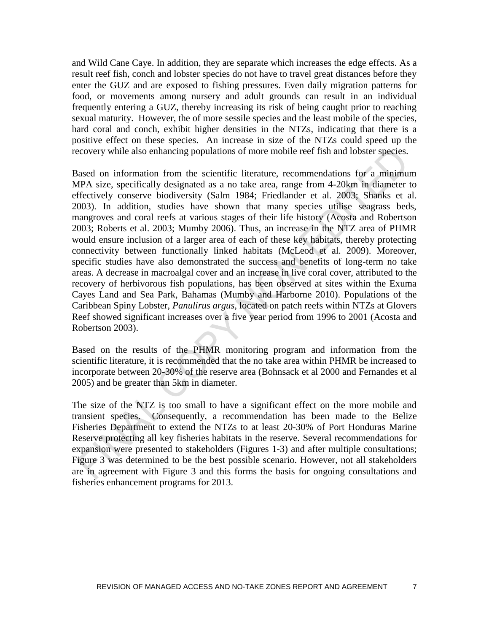and Wild Cane Caye. In addition, they are separate which increases the edge effects. As a result reef fish, conch and lobster species do not have to travel great distances before they enter the GUZ and are exposed to fishing pressures. Even daily migration patterns for food, or movements among nursery and adult grounds can result in an individual frequently entering a GUZ, thereby increasing its risk of being caught prior to reaching sexual maturity. However, the of more sessile species and the least mobile of the species, hard coral and conch, exhibit higher densities in the NTZs, indicating that there is a positive effect on these species. An increase in size of the NTZs could speed up the recovery while also enhancing populations of more mobile reef fish and lobster species.

Based on information from the scientific literature, recommendations for a minimum MPA size, specifically designated as a no take area, range from 4-20km in diameter to effectively conserve biodiversity (Salm 1984; Friedlander et al. 2003; Shanks et al. 2003). In addition, studies have shown that many species utilise seagrass beds, mangroves and coral reefs at various stages of their life history (Acosta and Robertson 2003; Roberts et al. 2003; Mumby 2006). Thus, an increase in the NTZ area of PHMR would ensure inclusion of a larger area of each of these key habitats, thereby protecting connectivity between functionally linked habitats (McLeod et al. 2009). Moreover, specific studies have also demonstrated the success and benefits of long-term no take areas. A decrease in macroalgal cover and an increase in live coral cover, attributed to the recovery of herbivorous fish populations, has been observed at sites within the Exuma Cayes Land and Sea Park, Bahamas (Mumby and Harborne 2010). Populations of the Caribbean Spiny Lobster, *Panulirus argus,* located on patch reefs within NTZs at Glovers Reef showed significant increases over a five year period from 1996 to 2001 (Acosta and Robertson 2003).

Based on the results of the PHMR monitoring program and information from the scientific literature, it is recommended that the no take area within PHMR be increased to incorporate between 20-30% of the reserve area (Bohnsack et al 2000 and Fernandes et al 2005) and be greater than 5km in diameter.

The size of the NTZ is too small to have a significant effect on the more mobile and transient species. Consequently, a recommendation has been made to the Belize Fisheries Department to extend the NTZs to at least 20-30% of Port Honduras Marine Reserve protecting all key fisheries habitats in the reserve. Several recommendations for expansion were presented to stakeholders (Figures 1-3) and after multiple consultations; Figure 3 was determined to be the best possible scenario. However, not all stakeholders are in agreement with Figure 3 and this forms the basis for ongoing consultations and fisheries enhancement programs for 2013.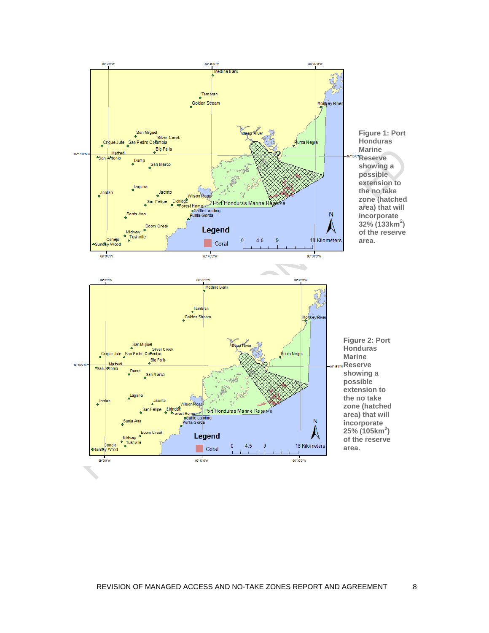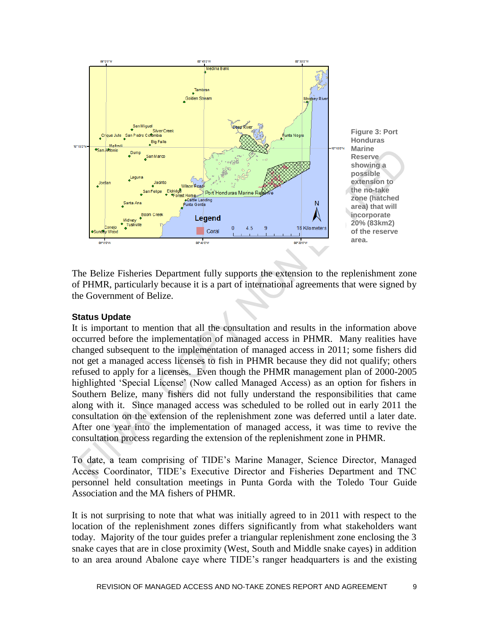

The Belize Fisheries Department fully supports the extension to the replenishment zone of PHMR, particularly because it is a part of international agreements that were signed by the Government of Belize.

#### **Status Update**

It is important to mention that all the consultation and results in the information above occurred before the implementation of managed access in PHMR. Many realities have changed subsequent to the implementation of managed access in 2011; some fishers did not get a managed access licenses to fish in PHMR because they did not qualify; others refused to apply for a licenses. Even though the PHMR management plan of 2000-2005 highlighted 'Special License' (Now called Managed Access) as an option for fishers in Southern Belize, many fishers did not fully understand the responsibilities that came along with it. Since managed access was scheduled to be rolled out in early 2011 the consultation on the extension of the replenishment zone was deferred until a later date. After one year into the implementation of managed access, it was time to revive the consultation process regarding the extension of the replenishment zone in PHMR.

To date, a team comprising of TIDE's Marine Manager, Science Director, Managed Access Coordinator, TIDE's Executive Director and Fisheries Department and TNC personnel held consultation meetings in Punta Gorda with the Toledo Tour Guide Association and the MA fishers of PHMR.

It is not surprising to note that what was initially agreed to in 2011 with respect to the location of the replenishment zones differs significantly from what stakeholders want today. Majority of the tour guides prefer a triangular replenishment zone enclosing the 3 snake cayes that are in close proximity (West, South and Middle snake cayes) in addition to an area around Abalone caye where TIDE's ranger headquarters is and the existing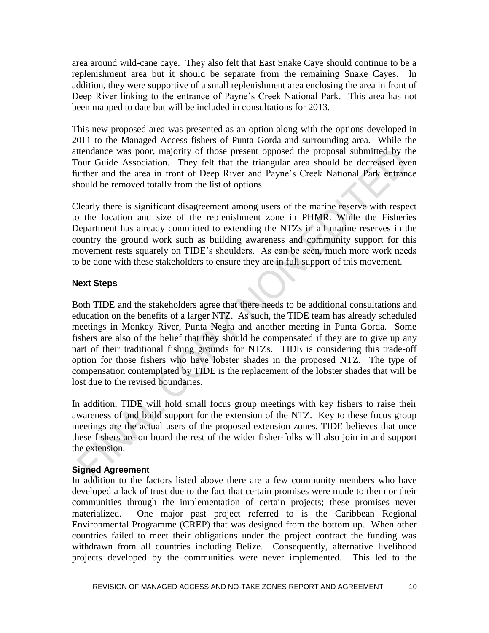area around wild-cane caye. They also felt that East Snake Caye should continue to be a replenishment area but it should be separate from the remaining Snake Cayes. In addition, they were supportive of a small replenishment area enclosing the area in front of Deep River linking to the entrance of Payne's Creek National Park. This area has not been mapped to date but will be included in consultations for 2013.

This new proposed area was presented as an option along with the options developed in 2011 to the Managed Access fishers of Punta Gorda and surrounding area. While the attendance was poor, majority of those present opposed the proposal submitted by the Tour Guide Association. They felt that the triangular area should be decreased even further and the area in front of Deep River and Payne's Creek National Park entrance should be removed totally from the list of options.

Clearly there is significant disagreement among users of the marine reserve with respect to the location and size of the replenishment zone in PHMR. While the Fisheries Department has already committed to extending the NTZs in all marine reserves in the country the ground work such as building awareness and community support for this movement rests squarely on TIDE's shoulders. As can be seen, much more work needs to be done with these stakeholders to ensure they are in full support of this movement.

## **Next Steps**

Both TIDE and the stakeholders agree that there needs to be additional consultations and education on the benefits of a larger NTZ. As such, the TIDE team has already scheduled meetings in Monkey River, Punta Negra and another meeting in Punta Gorda. Some fishers are also of the belief that they should be compensated if they are to give up any part of their traditional fishing grounds for NTZs. TIDE is considering this trade-off option for those fishers who have lobster shades in the proposed NTZ. The type of compensation contemplated by TIDE is the replacement of the lobster shades that will be lost due to the revised boundaries.

In addition, TIDE will hold small focus group meetings with key fishers to raise their awareness of and build support for the extension of the NTZ. Key to these focus group meetings are the actual users of the proposed extension zones, TIDE believes that once these fishers are on board the rest of the wider fisher-folks will also join in and support the extension.

## **Signed Agreement**

In addition to the factors listed above there are a few community members who have developed a lack of trust due to the fact that certain promises were made to them or their communities through the implementation of certain projects; these promises never materialized. One major past project referred to is the Caribbean Regional Environmental Programme (CREP) that was designed from the bottom up. When other countries failed to meet their obligations under the project contract the funding was withdrawn from all countries including Belize. Consequently, alternative livelihood projects developed by the communities were never implemented. This led to the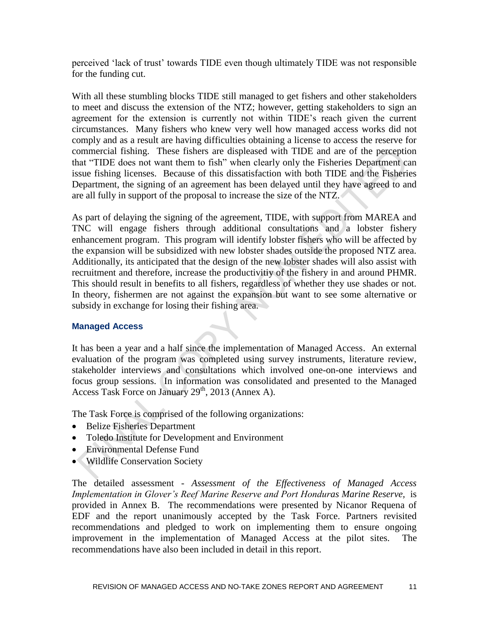perceived 'lack of trust' towards TIDE even though ultimately TIDE was not responsible for the funding cut.

With all these stumbling blocks TIDE still managed to get fishers and other stakeholders to meet and discuss the extension of the NTZ; however, getting stakeholders to sign an agreement for the extension is currently not within TIDE's reach given the current circumstances. Many fishers who knew very well how managed access works did not comply and as a result are having difficulties obtaining a license to access the reserve for commercial fishing. These fishers are displeased with TIDE and are of the perception that "TIDE does not want them to fish" when clearly only the Fisheries Department can issue fishing licenses. Because of this dissatisfaction with both TIDE and the Fisheries Department, the signing of an agreement has been delayed until they have agreed to and are all fully in support of the proposal to increase the size of the NTZ.

As part of delaying the signing of the agreement, TIDE, with support from MAREA and TNC will engage fishers through additional consultations and a lobster fishery enhancement program. This program will identify lobster fishers who will be affected by the expansion will be subsidized with new lobster shades outside the proposed NTZ area. Additionally, its anticipated that the design of the new lobster shades will also assist with recruitment and therefore, increase the productivitiy of the fishery in and around PHMR. This should result in benefits to all fishers, regardless of whether they use shades or not. In theory, fishermen are not against the expansion but want to see some alternative or subsidy in exchange for losing their fishing area.

## **Managed Access**

It has been a year and a half since the implementation of Managed Access. An external evaluation of the program was completed using survey instruments, literature review, stakeholder interviews and consultations which involved one-on-one interviews and focus group sessions. In information was consolidated and presented to the Managed Access Task Force on January  $29<sup>th</sup>$ , 2013 (Annex A).

The Task Force is comprised of the following organizations:

- Belize Fisheries Department
- Toledo Institute for Development and Environment
- Environmental Defense Fund
- Wildlife Conservation Society

The detailed assessment - *Assessment of the Effectiveness of Managed Access Implementation in Glover's Reef Marine Reserve and Port Honduras Marine Reserve, is* provided in Annex B. The recommendations were presented by Nicanor Requena of EDF and the report unanimously accepted by the Task Force. Partners revisited recommendations and pledged to work on implementing them to ensure ongoing improvement in the implementation of Managed Access at the pilot sites. The recommendations have also been included in detail in this report.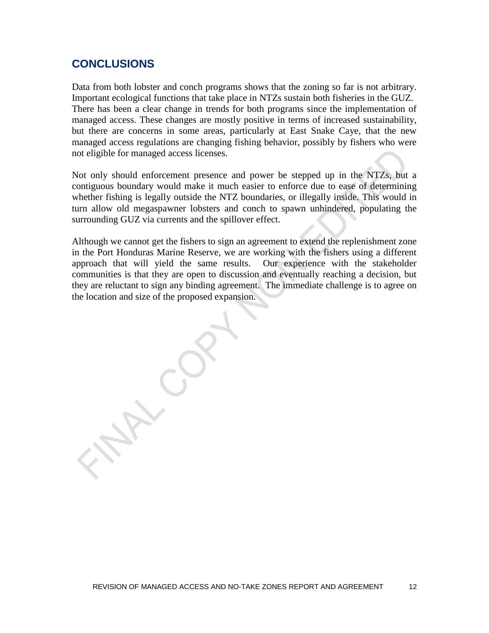## **CONCLUSIONS**

Data from both lobster and conch programs shows that the zoning so far is not arbitrary. Important ecological functions that take place in NTZs sustain both fisheries in the GUZ. There has been a clear change in trends for both programs since the implementation of managed access. These changes are mostly positive in terms of increased sustainability, but there are concerns in some areas, particularly at East Snake Caye, that the new managed access regulations are changing fishing behavior, possibly by fishers who were not eligible for managed access licenses.

Not only should enforcement presence and power be stepped up in the NTZs, but a contiguous boundary would make it much easier to enforce due to ease of determining whether fishing is legally outside the NTZ boundaries, or illegally inside. This would in turn allow old megaspawner lobsters and conch to spawn unhindered, populating the surrounding GUZ via currents and the spillover effect.

Although we cannot get the fishers to sign an agreement to extend the replenishment zone in the Port Honduras Marine Reserve, we are working with the fishers using a different approach that will yield the same results. Our experience with the stakeholder communities is that they are open to discussion and eventually reaching a decision, but they are reluctant to sign any binding agreement. The immediate challenge is to agree on the location and size of the proposed expansion.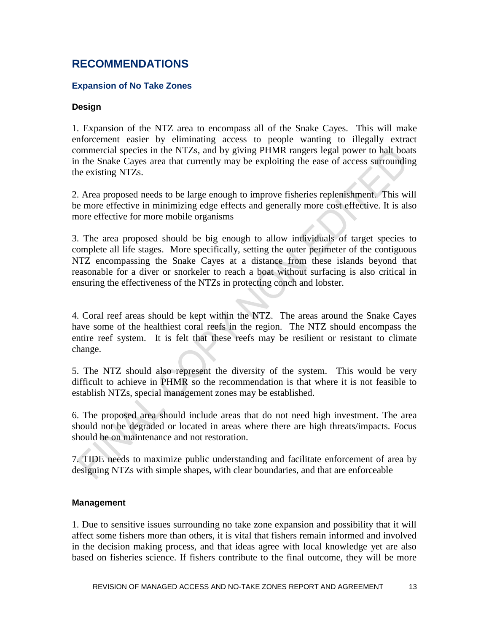## **RECOMMENDATIONS**

## **Expansion of No Take Zones**

#### **Design**

1. Expansion of the NTZ area to encompass all of the Snake Cayes. This will make enforcement easier by eliminating access to people wanting to illegally extract commercial species in the NTZs, and by giving PHMR rangers legal power to halt boats in the Snake Cayes area that currently may be exploiting the ease of access surrounding the existing NTZs.

2. Area proposed needs to be large enough to improve fisheries replenishment. This will be more effective in minimizing edge effects and generally more cost effective. It is also more effective for more mobile organisms

3. The area proposed should be big enough to allow individuals of target species to complete all life stages. More specifically, setting the outer perimeter of the contiguous NTZ encompassing the Snake Cayes at a distance from these islands beyond that reasonable for a diver or snorkeler to reach a boat without surfacing is also critical in ensuring the effectiveness of the NTZs in protecting conch and lobster.

4. Coral reef areas should be kept within the NTZ. The areas around the Snake Cayes have some of the healthiest coral reefs in the region. The NTZ should encompass the entire reef system. It is felt that these reefs may be resilient or resistant to climate change.

5. The NTZ should also represent the diversity of the system. This would be very difficult to achieve in PHMR so the recommendation is that where it is not feasible to establish NTZs, special management zones may be established.

6. The proposed area should include areas that do not need high investment. The area should not be degraded or located in areas where there are high threats/impacts. Focus should be on maintenance and not restoration.

7. TIDE needs to maximize public understanding and facilitate enforcement of area by designing NTZs with simple shapes, with clear boundaries, and that are enforceable

#### **Management**

1. Due to sensitive issues surrounding no take zone expansion and possibility that it will affect some fishers more than others, it is vital that fishers remain informed and involved in the decision making process, and that ideas agree with local knowledge yet are also based on fisheries science. If fishers contribute to the final outcome, they will be more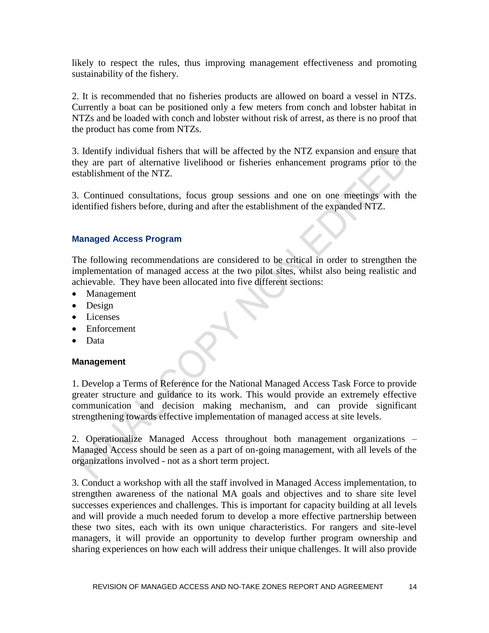likely to respect the rules, thus improving management effectiveness and promoting sustainability of the fishery.

2. It is recommended that no fisheries products are allowed on board a vessel in NTZs. Currently a boat can be positioned only a few meters from conch and lobster habitat in NTZs and be loaded with conch and lobster without risk of arrest, as there is no proof that the product has come from NTZs.

3. Identify individual fishers that will be affected by the NTZ expansion and ensure that they are part of alternative livelihood or fisheries enhancement programs prior to the establishment of the NTZ.

3. Continued consultations, focus group sessions and one on one meetings with the identified fishers before, during and after the establishment of the expanded NTZ.

## **Managed Access Program**

The following recommendations are considered to be critical in order to strengthen the implementation of managed access at the two pilot sites, whilst also being realistic and achievable. They have been allocated into five different sections:

- Management
- Design
- Licenses
- Enforcement
- Data

## **Management**

1. Develop a Terms of Reference for the National Managed Access Task Force to provide greater structure and guidance to its work. This would provide an extremely effective communication and decision making mechanism, and can provide significant strengthening towards effective implementation of managed access at site levels.

2. Operationalize Managed Access throughout both management organizations – Managed Access should be seen as a part of on-going management, with all levels of the organizations involved - not as a short term project.

3. Conduct a workshop with all the staff involved in Managed Access implementation, to strengthen awareness of the national MA goals and objectives and to share site level successes experiences and challenges. This is important for capacity building at all levels and will provide a much needed forum to develop a more effective partnership between these two sites, each with its own unique characteristics. For rangers and site-level managers, it will provide an opportunity to develop further program ownership and sharing experiences on how each will address their unique challenges. It will also provide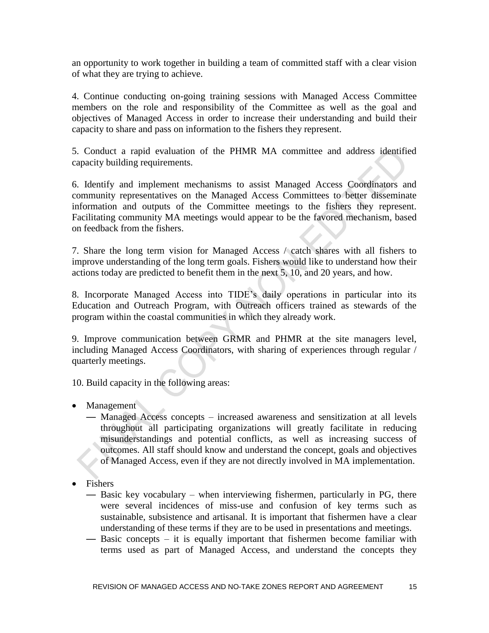an opportunity to work together in building a team of committed staff with a clear vision of what they are trying to achieve.

4. Continue conducting on-going training sessions with Managed Access Committee members on the role and responsibility of the Committee as well as the goal and objectives of Managed Access in order to increase their understanding and build their capacity to share and pass on information to the fishers they represent.

5. Conduct a rapid evaluation of the PHMR MA committee and address identified capacity building requirements.

6. Identify and implement mechanisms to assist Managed Access Coordinators and community representatives on the Managed Access Committees to better disseminate information and outputs of the Committee meetings to the fishers they represent. Facilitating community MA meetings would appear to be the favored mechanism, based on feedback from the fishers.

7. Share the long term vision for Managed Access / catch shares with all fishers to improve understanding of the long term goals. Fishers would like to understand how their actions today are predicted to benefit them in the next 5, 10, and 20 years, and how.

8. Incorporate Managed Access into TIDE's daily operations in particular into its Education and Outreach Program, with Outreach officers trained as stewards of the program within the coastal communities in which they already work.

9. Improve communication between GRMR and PHMR at the site managers level, including Managed Access Coordinators, with sharing of experiences through regular / quarterly meetings.

10. Build capacity in the following areas:

- Management
	- Managed Access concepts increased awareness and sensitization at all levels throughout all participating organizations will greatly facilitate in reducing misunderstandings and potential conflicts, as well as increasing success of outcomes. All staff should know and understand the concept, goals and objectives of Managed Access, even if they are not directly involved in MA implementation.
- Fishers
	- Basic key vocabulary when interviewing fishermen, particularly in PG, there were several incidences of miss-use and confusion of key terms such as sustainable, subsistence and artisanal. It is important that fishermen have a clear understanding of these terms if they are to be used in presentations and meetings.
	- Basic concepts it is equally important that fishermen become familiar with terms used as part of Managed Access, and understand the concepts they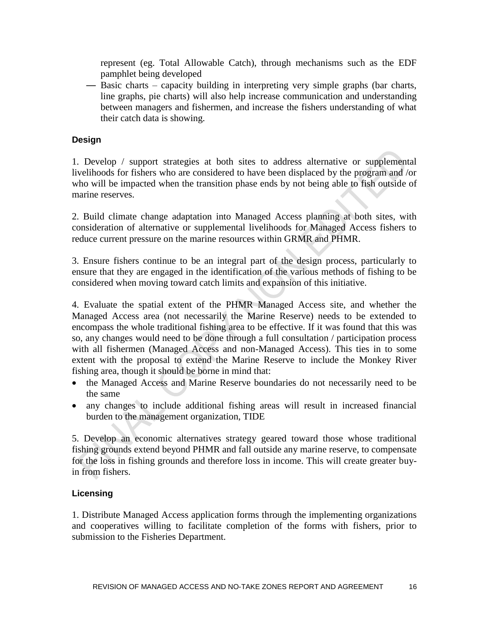represent (eg. Total Allowable Catch), through mechanisms such as the EDF pamphlet being developed

— Basic charts – capacity building in interpreting very simple graphs (bar charts, line graphs, pie charts) will also help increase communication and understanding between managers and fishermen, and increase the fishers understanding of what their catch data is showing.

## **Design**

1. Develop / support strategies at both sites to address alternative or supplemental livelihoods for fishers who are considered to have been displaced by the program and /or who will be impacted when the transition phase ends by not being able to fish outside of marine reserves.

2. Build climate change adaptation into Managed Access planning at both sites, with consideration of alternative or supplemental livelihoods for Managed Access fishers to reduce current pressure on the marine resources within GRMR and PHMR.

3. Ensure fishers continue to be an integral part of the design process, particularly to ensure that they are engaged in the identification of the various methods of fishing to be considered when moving toward catch limits and expansion of this initiative.

4. Evaluate the spatial extent of the PHMR Managed Access site, and whether the Managed Access area (not necessarily the Marine Reserve) needs to be extended to encompass the whole traditional fishing area to be effective. If it was found that this was so, any changes would need to be done through a full consultation / participation process with all fishermen (Managed Access and non-Managed Access). This ties in to some extent with the proposal to extend the Marine Reserve to include the Monkey River fishing area, though it should be borne in mind that:

- the Managed Access and Marine Reserve boundaries do not necessarily need to be the same
- any changes to include additional fishing areas will result in increased financial burden to the management organization, TIDE

5. Develop an economic alternatives strategy geared toward those whose traditional fishing grounds extend beyond PHMR and fall outside any marine reserve, to compensate for the loss in fishing grounds and therefore loss in income. This will create greater buyin from fishers.

## **Licensing**

1. Distribute Managed Access application forms through the implementing organizations and cooperatives willing to facilitate completion of the forms with fishers, prior to submission to the Fisheries Department.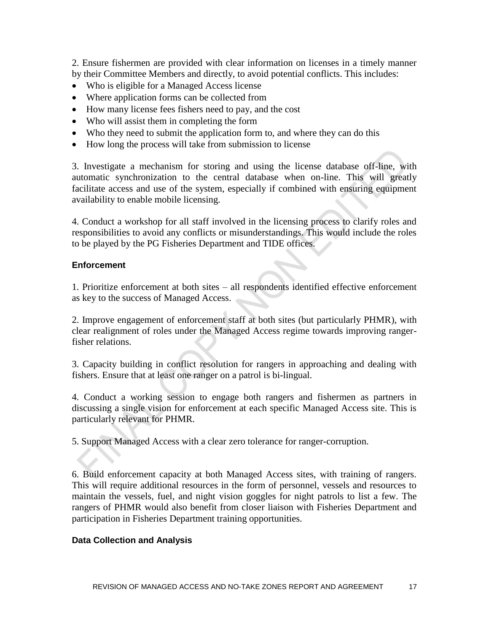2. Ensure fishermen are provided with clear information on licenses in a timely manner by their Committee Members and directly, to avoid potential conflicts. This includes:

- Who is eligible for a Managed Access license
- Where application forms can be collected from
- How many license fees fishers need to pay, and the cost
- Who will assist them in completing the form
- Who they need to submit the application form to, and where they can do this
- How long the process will take from submission to license

3. Investigate a mechanism for storing and using the license database off-line, with automatic synchronization to the central database when on-line. This will greatly facilitate access and use of the system, especially if combined with ensuring equipment availability to enable mobile licensing.

4. Conduct a workshop for all staff involved in the licensing process to clarify roles and responsibilities to avoid any conflicts or misunderstandings. This would include the roles to be played by the PG Fisheries Department and TIDE offices.

## **Enforcement**

1. Prioritize enforcement at both sites – all respondents identified effective enforcement as key to the success of Managed Access.

2. Improve engagement of enforcement staff at both sites (but particularly PHMR), with clear realignment of roles under the Managed Access regime towards improving rangerfisher relations.

3. Capacity building in conflict resolution for rangers in approaching and dealing with fishers. Ensure that at least one ranger on a patrol is bi-lingual.

4. Conduct a working session to engage both rangers and fishermen as partners in discussing a single vision for enforcement at each specific Managed Access site. This is particularly relevant for PHMR.

5. Support Managed Access with a clear zero tolerance for ranger-corruption.

6. Build enforcement capacity at both Managed Access sites, with training of rangers. This will require additional resources in the form of personnel, vessels and resources to maintain the vessels, fuel, and night vision goggles for night patrols to list a few. The rangers of PHMR would also benefit from closer liaison with Fisheries Department and participation in Fisheries Department training opportunities.

## **Data Collection and Analysis**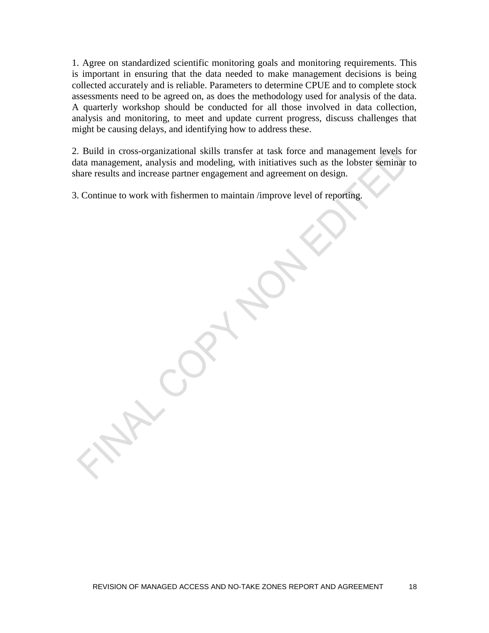1. Agree on standardized scientific monitoring goals and monitoring requirements. This is important in ensuring that the data needed to make management decisions is being collected accurately and is reliable. Parameters to determine CPUE and to complete stock assessments need to be agreed on, as does the methodology used for analysis of the data. A quarterly workshop should be conducted for all those involved in data collection, analysis and monitoring, to meet and update current progress, discuss challenges that might be causing delays, and identifying how to address these.

2. Build in cross-organizational skills transfer at task force and management levels for data management, analysis and modeling, with initiatives such as the lobster seminar to share results and increase partner engagement and agreement on design.

3. Continue to work with fishermen to maintain /improve level of reporting.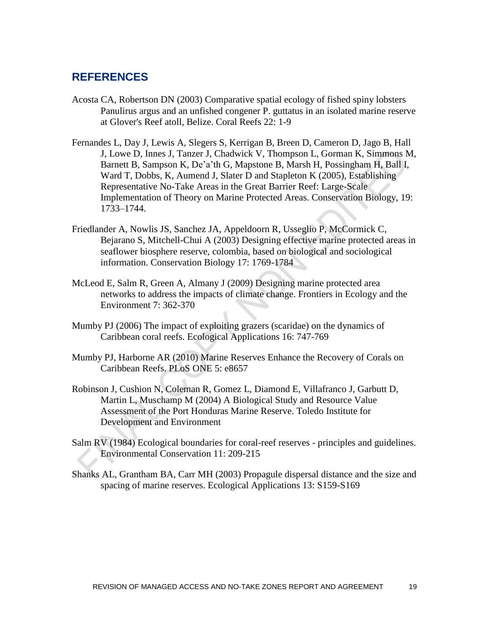## **REFERENCES**

- Acosta CA, Robertson DN (2003) Comparative spatial ecology of fished spiny lobsters Panulirus argus and an unfished congener P. guttatus in an isolated marine reserve at Glover's Reef atoll, Belize. Coral Reefs 22: 1-9
- Fernandes L, Day J, Lewis A, Slegers S, Kerrigan B, Breen D, Cameron D, Jago B, Hall J, Lowe D, Innes J, Tanzer J, Chadwick V, Thompson L, Gorman K, Simmons M, Barnett B, Sampson K, De'a'th G, Mapstone B, Marsh H, Possingham H, Ball I, Ward T, Dobbs, K, Aumend J, Slater D and Stapleton K (2005), Establishing Representative No-Take Areas in the Great Barrier Reef: Large-Scale Implementation of Theory on Marine Protected Areas. Conservation Biology, 19: 1733–1744.
- Friedlander A, Nowlis JS, Sanchez JA, Appeldoorn R, Usseglio P, McCormick C, Bejarano S, Mitchell-Chui A (2003) Designing effective marine protected areas in seaflower biosphere reserve, colombia, based on biological and sociological information. Conservation Biology 17: 1769-1784
- McLeod E, Salm R, Green A, Almany J (2009) Designing marine protected area networks to address the impacts of climate change. Frontiers in Ecology and the Environment 7: 362-370
- Mumby PJ (2006) The impact of exploiting grazers (scaridae) on the dynamics of Caribbean coral reefs. Ecological Applications 16: 747-769
- Mumby PJ, Harborne AR (2010) Marine Reserves Enhance the Recovery of Corals on Caribbean Reefs. PLoS ONE 5: e8657
- Robinson J, Cushion N, Coleman R, Gomez L, Diamond E, Villafranco J, Garbutt D, Martin L, Muschamp M (2004) A Biological Study and Resource Value Assessment of the Port Honduras Marine Reserve. Toledo Institute for Development and Environment
- Salm RV (1984) Ecological boundaries for coral-reef reserves principles and guidelines. Environmental Conservation 11: 209-215
- Shanks AL, Grantham BA, Carr MH (2003) Propagule dispersal distance and the size and spacing of marine reserves. Ecological Applications 13: S159-S169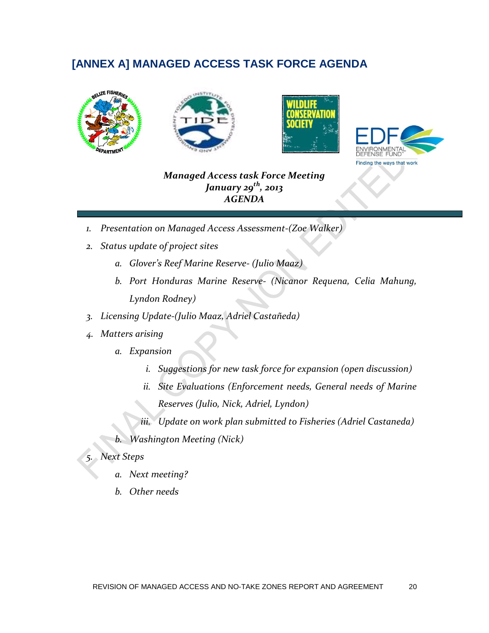## **[ANNEX A] MANAGED ACCESS TASK FORCE AGENDA**





*Managed Access task Force Meeting January 29th, 2013 AGENDA*

- *1. Presentation on Managed Access Assessment-(Zoe Walker)*
- *2. Status update of project sites*
	- *a. Glover's Reef Marine Reserve- (Julio Maaz)*
	- *b. Port Honduras Marine Reserve- (Nicanor Requena, Celia Mahung, Lyndon Rodney)*
- *3. Licensing Update-(Julio Maaz, Adriel Castañeda)*
- *4. Matters arising*
	- *a. Expansion*
		- *i. Suggestions for new task force for expansion (open discussion)*
		- *ii. Site Evaluations (Enforcement needs, General needs of Marine Reserves (Julio, Nick, Adriel, Lyndon)*

*iii. Update on work plan submitted to Fisheries (Adriel Castaneda)*

*b. Washington Meeting (Nick)*

## *5. Next Steps*

- *a. Next meeting?*
- *b. Other needs*